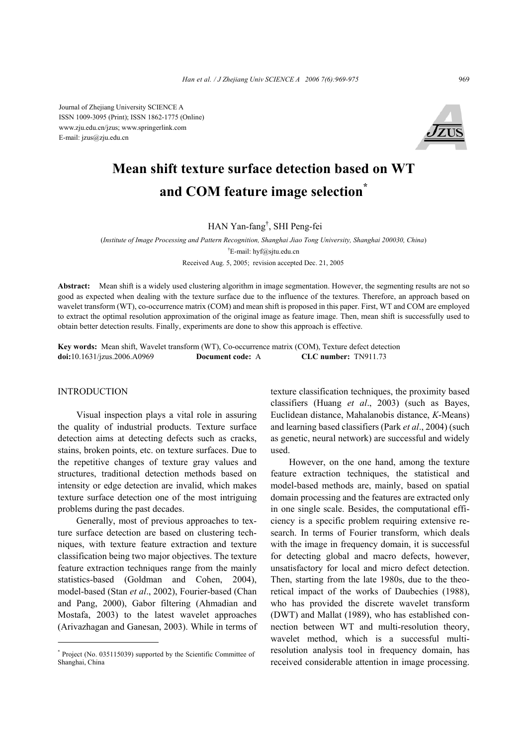Journal of Zhejiang University SCIENCE A ISSN 1009-3095 (Print); ISSN 1862-1775 (Online) www.zju.edu.cn/jzus; www.springerlink.com E-mail: jzus@zju.edu.cn



# **Mean shift texture surface detection based on WT and COM feature image selection\***

HAN Yan-fang† , SHI Peng-fei

(*Institute of Image Processing and Pattern Recognition, Shanghai Jiao Tong University, Shanghai 200030, China*) † E-mail: hyf@sjtu.edu.cn Received Aug. 5, 2005; revision accepted Dec. 21, 2005

**Abstract:** Mean shift is a widely used clustering algorithm in image segmentation. However, the segmenting results are not so good as expected when dealing with the texture surface due to the influence of the textures. Therefore, an approach based on wavelet transform (WT), co-occurrence matrix (COM) and mean shift is proposed in this paper. First, WT and COM are employed to extract the optimal resolution approximation of the original image as feature image. Then, mean shift is successfully used to obtain better detection results. Finally, experiments are done to show this approach is effective.

**Key words:** Mean shift, Wavelet transform (WT), Co-occurrence matrix (COM), Texture defect detection **doi:**10.1631/jzus.2006.A0969 **Document code:** A **CLC number:** TN911.73

## INTRODUCTION

Visual inspection plays a vital role in assuring the quality of industrial products. Texture surface detection aims at detecting defects such as cracks, stains, broken points, etc. on texture surfaces. Due to the repetitive changes of texture gray values and structures, traditional detection methods based on intensity or edge detection are invalid, which makes texture surface detection one of the most intriguing problems during the past decades.

Generally, most of previous approaches to texture surface detection are based on clustering techniques, with texture feature extraction and texture classification being two major objectives. The texture feature extraction techniques range from the mainly statistics-based (Goldman and Cohen, 2004), model-based (Stan *et al*., 2002), Fourier-based (Chan and Pang, 2000), Gabor filtering (Ahmadian and Mostafa, 2003) to the latest wavelet approaches (Arivazhagan and Ganesan, 2003). While in terms of texture classification techniques, the proximity based classifiers (Huang *et al*., 2003) (such as Bayes, Euclidean distance, Mahalanobis distance, *K*-Means) and learning based classifiers (Park *et al*., 2004) (such as genetic, neural network) are successful and widely used.

However, on the one hand, among the texture feature extraction techniques, the statistical and model-based methods are, mainly, based on spatial domain processing and the features are extracted only in one single scale. Besides, the computational efficiency is a specific problem requiring extensive research. In terms of Fourier transform, which deals with the image in frequency domain, it is successful for detecting global and macro defects, however, unsatisfactory for local and micro defect detection. Then, starting from the late 1980s, due to the theoretical impact of the works of Daubechies (1988), who has provided the discrete wavelet transform (DWT) and Mallat (1989), who has established connection between WT and multi-resolution theory, wavelet method, which is a successful multiresolution analysis tool in frequency domain, has received considerable attention in image processing.

<sup>\*</sup> Project (No. 035115039) supported by the Scientific Committee of Shanghai, China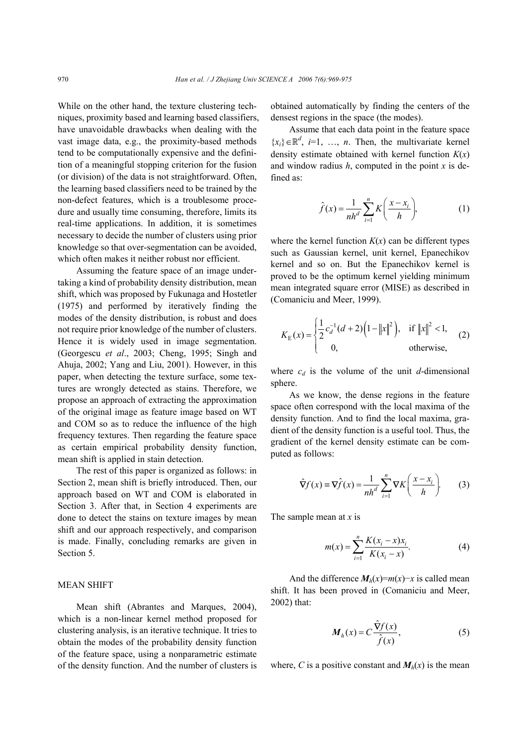While on the other hand, the texture clustering techniques, proximity based and learning based classifiers, have unavoidable drawbacks when dealing with the vast image data, e.g., the proximity-based methods tend to be computationally expensive and the definition of a meaningful stopping criterion for the fusion (or division) of the data is not straightforward. Often, the learning based classifiers need to be trained by the non-defect features, which is a troublesome procedure and usually time consuming, therefore, limits its real-time applications. In addition, it is sometimes necessary to decide the number of clusters using prior knowledge so that over-segmentation can be avoided, which often makes it neither robust nor efficient.

Assuming the feature space of an image undertaking a kind of probability density distribution, mean shift, which was proposed by Fukunaga and Hostetler (1975) and performed by iteratively finding the modes of the density distribution, is robust and does not require prior knowledge of the number of clusters. Hence it is widely used in image segmentation. (Georgescu *et al*., 2003; Cheng, 1995; Singh and Ahuja, 2002; Yang and Liu, 2001). However, in this paper, when detecting the texture surface, some textures are wrongly detected as stains. Therefore, we propose an approach of extracting the approximation of the original image as feature image based on WT and COM so as to reduce the influence of the high frequency textures. Then regarding the feature space as certain empirical probability density function, mean shift is applied in stain detection.

The rest of this paper is organized as follows: in Section 2, mean shift is briefly introduced. Then, our approach based on WT and COM is elaborated in Section 3. After that, in Section 4 experiments are done to detect the stains on texture images by mean shift and our approach respectively, and comparison is made. Finally, concluding remarks are given in Section 5.

## MEAN SHIFT

Mean shift (Abrantes and Marques, 2004), which is a non-linear kernel method proposed for clustering analysis, is an iterative technique. It tries to obtain the modes of the probability density function of the feature space, using a nonparametric estimate of the density function. And the number of clusters is obtained automatically by finding the centers of the densest regions in the space (the modes).

Assume that each data point in the feature space  ${x_i} \in \mathbb{R}^d$ , *i*=1, ..., *n*. Then, the multivariate kernel density estimate obtained with kernel function *K*(*x*) and window radius *h*, computed in the point *x* is defined as:

$$
\hat{f}(x) = \frac{1}{nh^d} \sum_{i=1}^n K\left(\frac{x - x_i}{h}\right),\tag{1}
$$

where the kernel function  $K(x)$  can be different types such as Gaussian kernel, unit kernel, Epanechikov kernel and so on. But the Epanechikov kernel is proved to be the optimum kernel yielding minimum mean integrated square error (MISE) as described in (Comaniciu and Meer, 1999).

$$
K_{\rm E}(x) = \begin{cases} \frac{1}{2}c_d^{-1}(d+2)\left(1 - \|x\|^2\right), & \text{if } \|x\|^2 < 1, \\ 0, & \text{otherwise,} \end{cases} \tag{2}
$$

where  $c_d$  is the volume of the unit  $d$ -dimensional sphere.

As we know, the dense regions in the feature space often correspond with the local maxima of the density function. And to find the local maxima, gradient of the density function is a useful tool. Thus, the gradient of the kernel density estimate can be computed as follows:

$$
\hat{\nabla}f(x) \equiv \nabla \hat{f}(x) = \frac{1}{nh^d} \sum_{i=1}^n \nabla K \left( \frac{x - x_i}{h} \right). \tag{3}
$$

The sample mean at *x* is

$$
m(x) = \sum_{i=1}^{n} \frac{K(x_i - x)x_i}{K(x_i - x)}.
$$
 (4)

And the difference  $M_h(x) = m(x) - x$  is called mean shift. It has been proved in (Comaniciu and Meer, 2002) that:

$$
\boldsymbol{M}_h(x) = C \frac{\hat{\boldsymbol{\nabla}} f(x)}{\hat{f}(x)},
$$
\n(5)

where, *C* is a positive constant and  $M_h(x)$  is the mean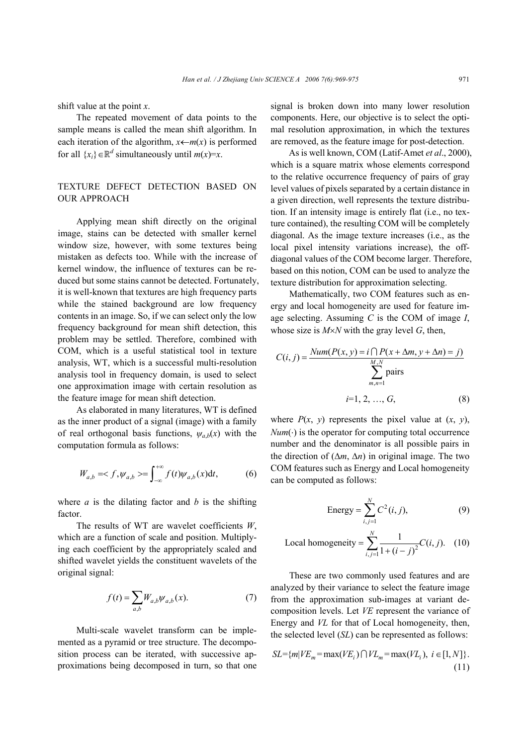shift value at the point *x*.

The repeated movement of data points to the sample means is called the mean shift algorithm. In each iteration of the algorithm,  $x \leftarrow m(x)$  is performed for all  $\{x_i\} \in \mathbb{R}^d$  simultaneously until  $m(x)=x$ .

# TEXTURE DEFECT DETECTION BASED ON OUR APPROACH

Applying mean shift directly on the original image, stains can be detected with smaller kernel window size, however, with some textures being mistaken as defects too. While with the increase of kernel window, the influence of textures can be reduced but some stains cannot be detected. Fortunately, it is well-known that textures are high frequency parts while the stained background are low frequency contents in an image. So, if we can select only the low frequency background for mean shift detection, this problem may be settled. Therefore, combined with COM, which is a useful statistical tool in texture analysis, WT, which is a successful multi-resolution analysis tool in frequency domain, is used to select one approximation image with certain resolution as the feature image for mean shift detection.

As elaborated in many literatures, WT is defined as the inner product of a signal (image) with a family of real orthogonal basis functions,  $\psi_{a,b}(x)$  with the computation formula as follows:

$$
W_{a,b} = \langle f, \psi_{a,b} \rangle = \int_{-\infty}^{+\infty} f(t) \psi_{a,b}(x) dt, \tag{6}
$$

where *a* is the dilating factor and *b* is the shifting factor.

The results of WT are wavelet coefficients *W*, which are a function of scale and position. Multiplying each coefficient by the appropriately scaled and shifted wavelet yields the constituent wavelets of the original signal:

$$
f(t) = \sum_{a,b} W_{a,b} \psi_{a,b}(x). \tag{7}
$$

Multi-scale wavelet transform can be implemented as a pyramid or tree structure. The decomposition process can be iterated, with successive approximations being decomposed in turn, so that one signal is broken down into many lower resolution components. Here, our objective is to select the optimal resolution approximation, in which the textures are removed, as the feature image for post-detection.

 As is well known, COM (Latif-Amet *et al*., 2000), which is a square matrix whose elements correspond to the relative occurrence frequency of pairs of gray level values of pixels separated by a certain distance in a given direction, well represents the texture distribution. If an intensity image is entirely flat (i.e., no texture contained), the resulting COM will be completely diagonal. As the image texture increases (i.e., as the local pixel intensity variations increase), the offdiagonal values of the COM become larger. Therefore, based on this notion, COM can be used to analyze the texture distribution for approximation selecting.

Mathematically, two COM features such as energy and local homogeneity are used for feature image selecting. Assuming *C* is the COM of image *I*, whose size is  $M \times N$  with the gray level *G*, then,

$$
C(i, j) = \frac{Num(P(x, y) = i \cap P(x + \Delta m, y + \Delta n) = j)}{\sum_{m,n=1}^{M,N} \text{pairs}}
$$
  
  $i = 1, 2, ..., G,$  (8)

where  $P(x, y)$  represents the pixel value at  $(x, y)$ ,  $Num(\cdot)$  is the operator for computing total occurrence number and the denominator is all possible pairs in the direction of (∆*m*, ∆*n*) in original image. The two COM features such as Energy and Local homogeneity can be computed as follows:

Energy = 
$$
\sum_{i,j=1}^{N} C^2(i,j)
$$
, (9)

Local homogeneity = 
$$
\sum_{i,j=1}^{N} \frac{1}{1 + (i - j)^2} C(i, j).
$$
 (10)

These are two commonly used features and are analyzed by their variance to select the feature image from the approximation sub-images at variant decomposition levels. Let *VE* represent the variance of Energy and *VL* for that of Local homogeneity, then, the selected level (*SL*) can be represented as follows:

$$
SL = \{ m | VE_m = \max(VE_i) \cap V L_m = \max(V L_i), i \in [1, N] \}.
$$
\n(11)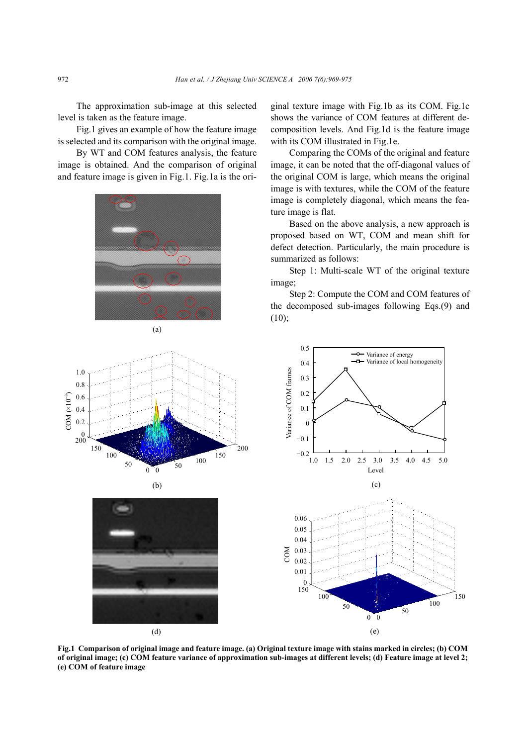The approximation sub-image at this selected level is taken as the feature image.

Fig.1 gives an example of how the feature image is selected and its comparison with the original image.

By WT and COM features analysis, the feature image is obtained. And the comparison of original and feature image is given in Fig.1. Fig.1a is the ori-





ginal texture image with Fig.1b as its COM. Fig.1c shows the variance of COM features at different decomposition levels. And Fig.1d is the feature image with its COM illustrated in Fig.1e.

Comparing the COMs of the original and feature image, it can be noted that the off-diagonal values of the original COM is large, which means the original image is with textures, while the COM of the feature image is completely diagonal, which means the feature image is flat.

Based on the above analysis, a new approach is proposed based on WT, COM and mean shift for defect detection. Particularly, the main procedure is summarized as follows:

Step 1: Multi-scale WT of the original texture image;

Step 2: Compute the COM and COM features of the decomposed sub-images following Eqs.(9) and  $(10)$ ;

0.5





**Fig.1 Comparison of original image and feature image. (a) Original texture image with stains marked in circles; (b) COM of original image; (c) COM feature variance of approximation sub-images at different levels; (d) Feature image at level 2; (e) COM of feature image** 

 $COM (×10<sup>-3</sup>)$ 

 $COM (×10<sup>-3</sup>)$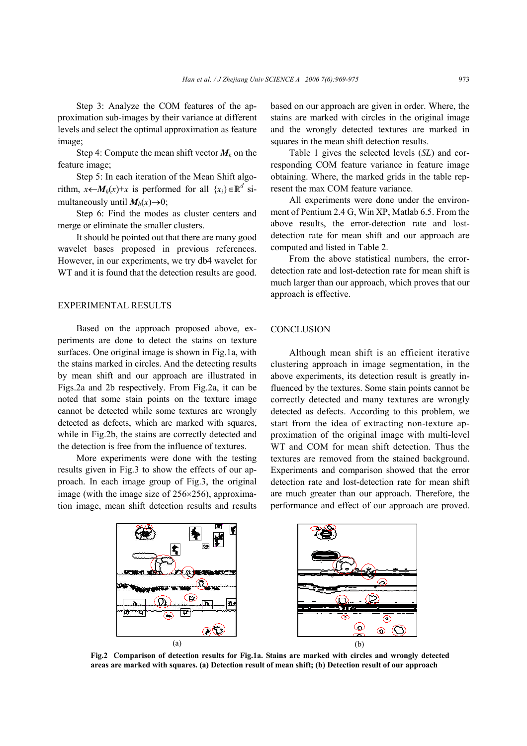Step 3: Analyze the COM features of the approximation sub-images by their variance at different levels and select the optimal approximation as feature image;

Step 4: Compute the mean shift vector  $M_h$  on the feature image;

Step 5: In each iteration of the Mean Shift algorithm,  $x \leftarrow M_h(x)+x$  is performed for all  $\{x_i\} \in \mathbb{R}^d$  simultaneously until  $M_h(x) \rightarrow 0$ ;

Step 6: Find the modes as cluster centers and merge or eliminate the smaller clusters.

It should be pointed out that there are many good wavelet bases proposed in previous references. However, in our experiments, we try db4 wavelet for WT and it is found that the detection results are good.

## EXPERIMENTAL RESULTS

Based on the approach proposed above, experiments are done to detect the stains on texture surfaces. One original image is shown in Fig.1a, with the stains marked in circles. And the detecting results by mean shift and our approach are illustrated in Figs.2a and 2b respectively. From Fig.2a, it can be noted that some stain points on the texture image cannot be detected while some textures are wrongly detected as defects, which are marked with squares, while in Fig.2b, the stains are correctly detected and the detection is free from the influence of textures.

More experiments were done with the testing results given in Fig.3 to show the effects of our approach. In each image group of Fig.3, the original image (with the image size of 256×256), approximation image, mean shift detection results and results based on our approach are given in order. Where, the stains are marked with circles in the original image and the wrongly detected textures are marked in squares in the mean shift detection results.

Table 1 gives the selected levels (*SL*) and corresponding COM feature variance in feature image obtaining. Where, the marked grids in the table represent the max COM feature variance.

All experiments were done under the environment of Pentium 2.4 G, Win XP, Matlab 6.5. From the above results, the error-detection rate and lostdetection rate for mean shift and our approach are computed and listed in Table 2.

From the above statistical numbers, the errordetection rate and lost-detection rate for mean shift is much larger than our approach, which proves that our approach is effective.

## **CONCLUSION**

Although mean shift is an efficient iterative clustering approach in image segmentation, in the above experiments, its detection result is greatly influenced by the textures. Some stain points cannot be correctly detected and many textures are wrongly detected as defects. According to this problem, we start from the idea of extracting non-texture approximation of the original image with multi-level WT and COM for mean shift detection. Thus the textures are removed from the stained background. Experiments and comparison showed that the error detection rate and lost-detection rate for mean shift are much greater than our approach. Therefore, the performance and effect of our approach are proved.



**Fig.2 Comparison of detection results for Fig.1a. Stains are marked with circles and wrongly detected areas are marked with squares. (a) Detection result of mean shift; (b) Detection result of our approach**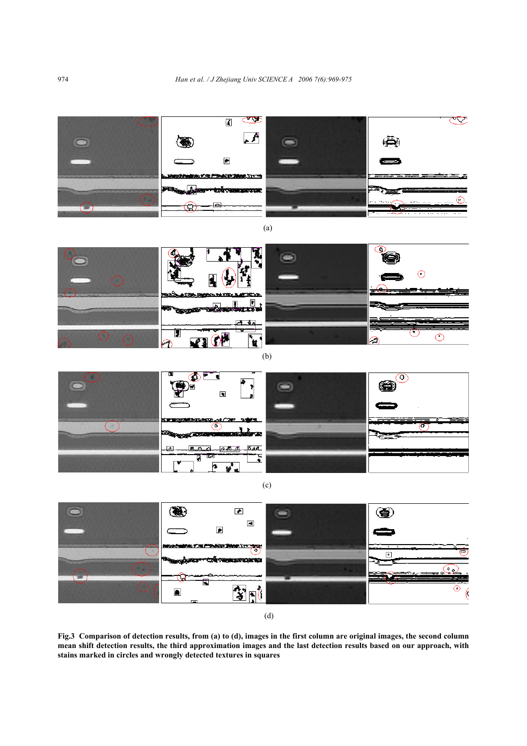

**Fig.3 Comparison of detection results, from (a) to (d), images in the first column are original images, the second column mean shift detection results, the third approximation images and the last detection results based on our approach, with stains marked in circles and wrongly detected textures in squares**